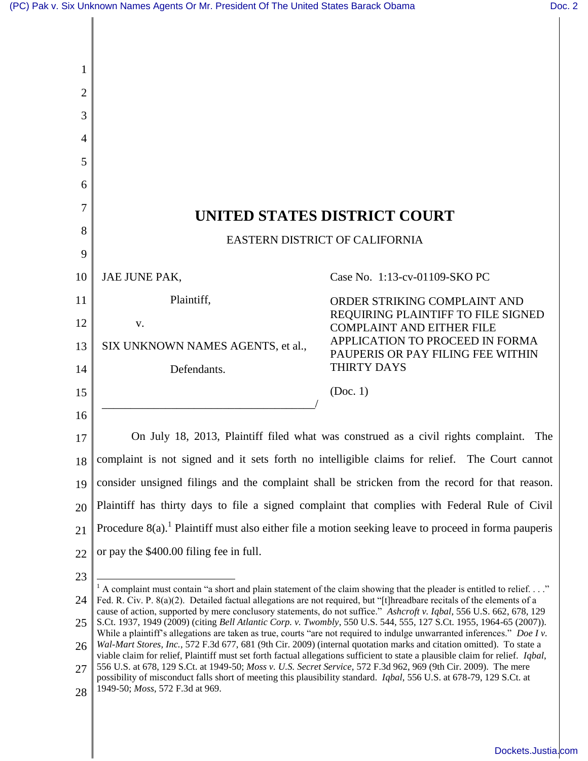$\mathsf{l}$ 

| 1              |                                                                                                                                                                                                                                                                                                                                                                                                                                                                                                                                                                                                                                                                                                                                                                                                                                                                                                                                                                                                                                                                                                                                                                       |                                                                      |  |
|----------------|-----------------------------------------------------------------------------------------------------------------------------------------------------------------------------------------------------------------------------------------------------------------------------------------------------------------------------------------------------------------------------------------------------------------------------------------------------------------------------------------------------------------------------------------------------------------------------------------------------------------------------------------------------------------------------------------------------------------------------------------------------------------------------------------------------------------------------------------------------------------------------------------------------------------------------------------------------------------------------------------------------------------------------------------------------------------------------------------------------------------------------------------------------------------------|----------------------------------------------------------------------|--|
| $\overline{2}$ |                                                                                                                                                                                                                                                                                                                                                                                                                                                                                                                                                                                                                                                                                                                                                                                                                                                                                                                                                                                                                                                                                                                                                                       |                                                                      |  |
| 3              |                                                                                                                                                                                                                                                                                                                                                                                                                                                                                                                                                                                                                                                                                                                                                                                                                                                                                                                                                                                                                                                                                                                                                                       |                                                                      |  |
| 4              |                                                                                                                                                                                                                                                                                                                                                                                                                                                                                                                                                                                                                                                                                                                                                                                                                                                                                                                                                                                                                                                                                                                                                                       |                                                                      |  |
| 5              |                                                                                                                                                                                                                                                                                                                                                                                                                                                                                                                                                                                                                                                                                                                                                                                                                                                                                                                                                                                                                                                                                                                                                                       |                                                                      |  |
| 6              |                                                                                                                                                                                                                                                                                                                                                                                                                                                                                                                                                                                                                                                                                                                                                                                                                                                                                                                                                                                                                                                                                                                                                                       |                                                                      |  |
| 7              |                                                                                                                                                                                                                                                                                                                                                                                                                                                                                                                                                                                                                                                                                                                                                                                                                                                                                                                                                                                                                                                                                                                                                                       | UNITED STATES DISTRICT COURT                                         |  |
| 8              | EASTERN DISTRICT OF CALIFORNIA                                                                                                                                                                                                                                                                                                                                                                                                                                                                                                                                                                                                                                                                                                                                                                                                                                                                                                                                                                                                                                                                                                                                        |                                                                      |  |
| 9              |                                                                                                                                                                                                                                                                                                                                                                                                                                                                                                                                                                                                                                                                                                                                                                                                                                                                                                                                                                                                                                                                                                                                                                       |                                                                      |  |
| 10             | JAE JUNE PAK,                                                                                                                                                                                                                                                                                                                                                                                                                                                                                                                                                                                                                                                                                                                                                                                                                                                                                                                                                                                                                                                                                                                                                         | Case No. 1:13-cv-01109-SKO PC                                        |  |
| 11             | Plaintiff,                                                                                                                                                                                                                                                                                                                                                                                                                                                                                                                                                                                                                                                                                                                                                                                                                                                                                                                                                                                                                                                                                                                                                            | ORDER STRIKING COMPLAINT AND<br>REQUIRING PLAINTIFF TO FILE SIGNED   |  |
| 12             | V.                                                                                                                                                                                                                                                                                                                                                                                                                                                                                                                                                                                                                                                                                                                                                                                                                                                                                                                                                                                                                                                                                                                                                                    | <b>COMPLAINT AND EITHER FILE</b>                                     |  |
| 13             | SIX UNKNOWN NAMES AGENTS, et al.,                                                                                                                                                                                                                                                                                                                                                                                                                                                                                                                                                                                                                                                                                                                                                                                                                                                                                                                                                                                                                                                                                                                                     | APPLICATION TO PROCEED IN FORMA<br>PAUPERIS OR PAY FILING FEE WITHIN |  |
| 14             | Defendants.                                                                                                                                                                                                                                                                                                                                                                                                                                                                                                                                                                                                                                                                                                                                                                                                                                                                                                                                                                                                                                                                                                                                                           | THIRTY DAYS                                                          |  |
| 15             |                                                                                                                                                                                                                                                                                                                                                                                                                                                                                                                                                                                                                                                                                                                                                                                                                                                                                                                                                                                                                                                                                                                                                                       | (Doc. 1)                                                             |  |
| 16             |                                                                                                                                                                                                                                                                                                                                                                                                                                                                                                                                                                                                                                                                                                                                                                                                                                                                                                                                                                                                                                                                                                                                                                       |                                                                      |  |
| 17             | On July 18, 2013, Plaintiff filed what was construed as a civil rights complaint.<br>The                                                                                                                                                                                                                                                                                                                                                                                                                                                                                                                                                                                                                                                                                                                                                                                                                                                                                                                                                                                                                                                                              |                                                                      |  |
| 18             | complaint is not signed and it sets forth no intelligible claims for relief. The Court cannot                                                                                                                                                                                                                                                                                                                                                                                                                                                                                                                                                                                                                                                                                                                                                                                                                                                                                                                                                                                                                                                                         |                                                                      |  |
| 19             | consider unsigned filings and the complaint shall be stricken from the record for that reason.                                                                                                                                                                                                                                                                                                                                                                                                                                                                                                                                                                                                                                                                                                                                                                                                                                                                                                                                                                                                                                                                        |                                                                      |  |
| 20             | Plaintiff has thirty days to file a signed complaint that complies with Federal Rule of Civil                                                                                                                                                                                                                                                                                                                                                                                                                                                                                                                                                                                                                                                                                                                                                                                                                                                                                                                                                                                                                                                                         |                                                                      |  |
| 21             | Procedure $8(a)$ . <sup>1</sup> Plaintiff must also either file a motion seeking leave to proceed in forma pauperis                                                                                                                                                                                                                                                                                                                                                                                                                                                                                                                                                                                                                                                                                                                                                                                                                                                                                                                                                                                                                                                   |                                                                      |  |
| 22             | or pay the \$400.00 filing fee in full.                                                                                                                                                                                                                                                                                                                                                                                                                                                                                                                                                                                                                                                                                                                                                                                                                                                                                                                                                                                                                                                                                                                               |                                                                      |  |
| 23             | $^1$ A complaint must contain "a short and plain statement of the claim showing that the pleader is entitled to relief"<br>Fed. R. Civ. P. 8(a)(2). Detailed factual allegations are not required, but "[t]hreadbare recitals of the elements of a<br>cause of action, supported by mere conclusory statements, do not suffice." Ashcroft v. Iqbal, 556 U.S. 662, 678, 129<br>S.Ct. 1937, 1949 (2009) (citing Bell Atlantic Corp. v. Twombly, 550 U.S. 544, 555, 127 S.Ct. 1955, 1964-65 (2007)).<br>While a plaintiff's allegations are taken as true, courts "are not required to indulge unwarranted inferences." Doe I v.<br>Wal-Mart Stores, Inc., 572 F.3d 677, 681 (9th Cir. 2009) (internal quotation marks and citation omitted). To state a<br>viable claim for relief, Plaintiff must set forth factual allegations sufficient to state a plausible claim for relief. Iqbal,<br>556 U.S. at 678, 129 S.Ct. at 1949-50; Moss v. U.S. Secret Service, 572 F.3d 962, 969 (9th Cir. 2009). The mere<br>possibility of misconduct falls short of meeting this plausibility standard. Iqbal, 556 U.S. at 678-79, 129 S.Ct. at<br>1949-50; Moss, 572 F.3d at 969. |                                                                      |  |
| 24             |                                                                                                                                                                                                                                                                                                                                                                                                                                                                                                                                                                                                                                                                                                                                                                                                                                                                                                                                                                                                                                                                                                                                                                       |                                                                      |  |
| 25             |                                                                                                                                                                                                                                                                                                                                                                                                                                                                                                                                                                                                                                                                                                                                                                                                                                                                                                                                                                                                                                                                                                                                                                       |                                                                      |  |
| 26             |                                                                                                                                                                                                                                                                                                                                                                                                                                                                                                                                                                                                                                                                                                                                                                                                                                                                                                                                                                                                                                                                                                                                                                       |                                                                      |  |
| 27             |                                                                                                                                                                                                                                                                                                                                                                                                                                                                                                                                                                                                                                                                                                                                                                                                                                                                                                                                                                                                                                                                                                                                                                       |                                                                      |  |
| 28             |                                                                                                                                                                                                                                                                                                                                                                                                                                                                                                                                                                                                                                                                                                                                                                                                                                                                                                                                                                                                                                                                                                                                                                       |                                                                      |  |

[Dockets.Justia.com](http://dockets.justia.com/)